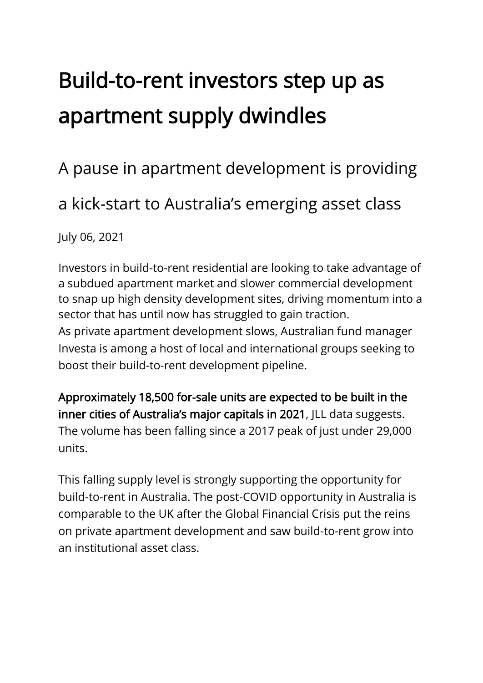## Build-to-rent investors step up as apartment supply dwindles

## A pause in apartment development is providing

a kick-start to Australia's emerging asset class

July 06, 2021

Investors in build-to-rent residential are looking to take advantage of a subdued apartment market and slower commercial development to snap up high density development sites, driving momentum into a sector that has until now has struggled to gain traction. As private apartment development slows, Australian fund manager Investa is among a host of local and international groups seeking to boost their build-to-rent development pipeline.

Approximately 18,500 for-sale units are expected to be built in the inner cities of Australia's major capitals in 2021, JLL data suggests. The volume has been falling since a 2017 peak of just under 29,000 units.

This falling supply level is strongly supporting the opportunity for build-to-rent in Australia. The post-COVID opportunity in Australia is comparable to the UK after the Global Financial Crisis put the reins on private apartment development and saw build-to-rent grow into an institutional asset class.